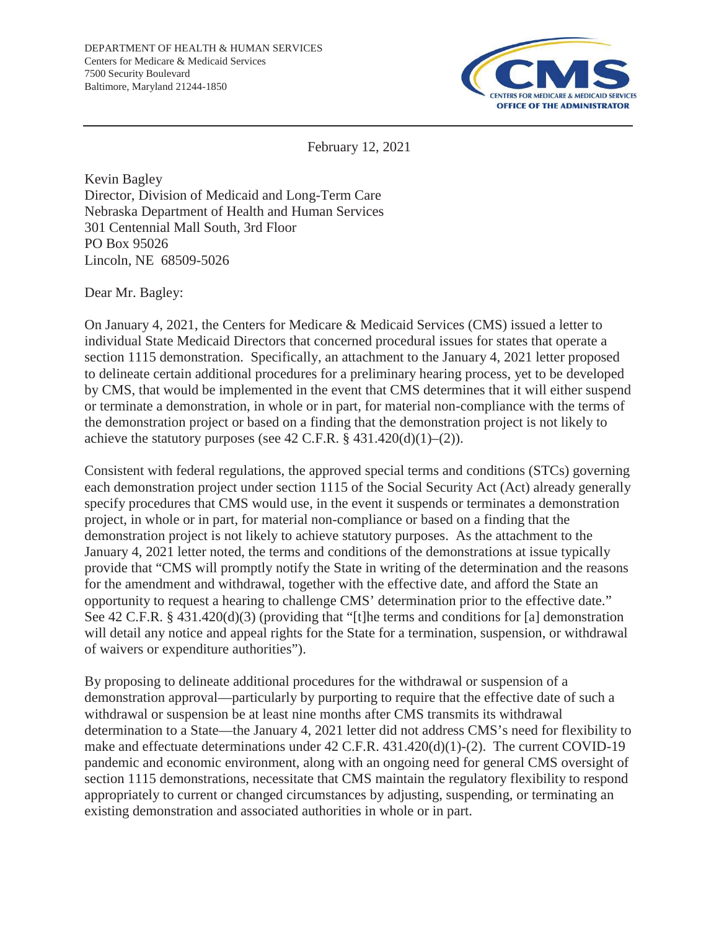

February 12, 2021

Kevin Bagley Director, Division of Medicaid and Long-Term Care Nebraska Department of Health and Human Services 301 Centennial Mall South, 3rd Floor PO Box 95026 Lincoln, NE 68509-5026

Dear Mr. Bagley:

On January 4, 2021, the Centers for Medicare & Medicaid Services (CMS) issued a letter to individual State Medicaid Directors that concerned procedural issues for states that operate a section 1115 demonstration. Specifically, an attachment to the January 4, 2021 letter proposed to delineate certain additional procedures for a preliminary hearing process, yet to be developed by CMS, that would be implemented in the event that CMS determines that it will either suspend or terminate a demonstration, in whole or in part, for material non-compliance with the terms of the demonstration project or based on a finding that the demonstration project is not likely to achieve the statutory purposes (see 42 C.F.R.  $\S$  431.420(d)(1)–(2)).

Consistent with federal regulations, the approved special terms and conditions (STCs) governing each demonstration project under section 1115 of the Social Security Act (Act) already generally specify procedures that CMS would use, in the event it suspends or terminates a demonstration project, in whole or in part, for material non-compliance or based on a finding that the demonstration project is not likely to achieve statutory purposes. As the attachment to the January 4, 2021 letter noted, the terms and conditions of the demonstrations at issue typically provide that "CMS will promptly notify the State in writing of the determination and the reasons for the amendment and withdrawal, together with the effective date, and afford the State an opportunity to request a hearing to challenge CMS' determination prior to the effective date." See 42 C.F.R. § 431.420(d)(3) (providing that "[t]he terms and conditions for [a] demonstration will detail any notice and appeal rights for the State for a termination, suspension, or withdrawal of waivers or expenditure authorities").

By proposing to delineate additional procedures for the withdrawal or suspension of a demonstration approval—particularly by purporting to require that the effective date of such a withdrawal or suspension be at least nine months after CMS transmits its withdrawal determination to a State—the January 4, 2021 letter did not address CMS's need for flexibility to make and effectuate determinations under 42 C.F.R. 431.420(d)(1)-(2). The current COVID-19 pandemic and economic environment, along with an ongoing need for general CMS oversight of section 1115 demonstrations, necessitate that CMS maintain the regulatory flexibility to respond appropriately to current or changed circumstances by adjusting, suspending, or terminating an existing demonstration and associated authorities in whole or in part.